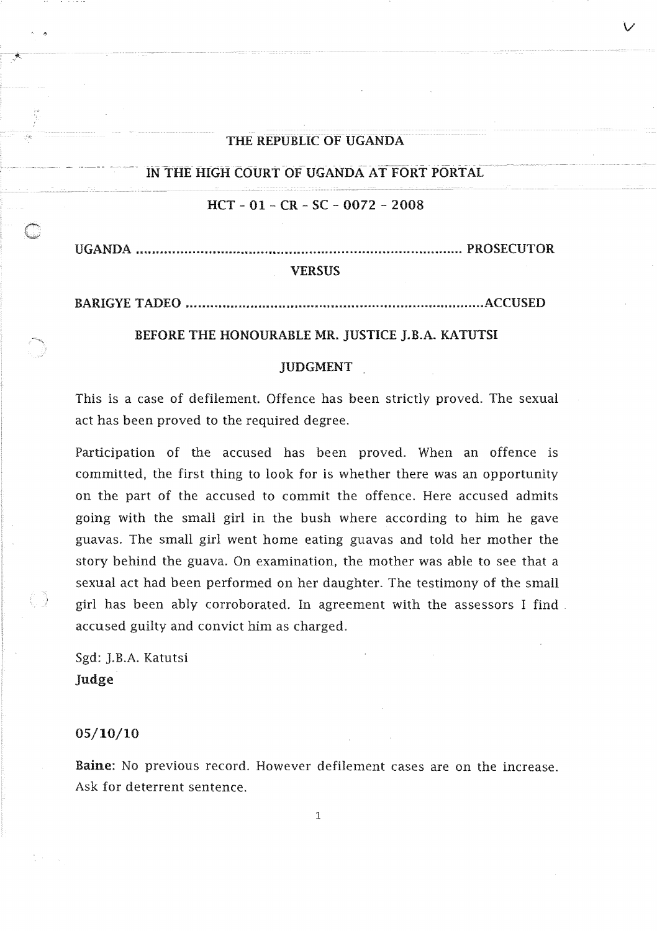### THE REPUBLIC OF UGANDA

*v* 

IN THE HIGH COURT OF UGANDA AT FORT PORTAL.

# $HCT - 01 - CR - SC - 0072 - 2008$

UGANDA ................................................................................. PROSECUTOR

## **VERSUS**

BARIGYE TADEO ........... 

## BEFORE THE HONOURABLE MR. JUSTICE J.B.A. KATUTSI

#### JUDGMENT

This is a case of defilement. Offence has been strictly proved. The sexual act has been proved to the required degree.

Participation of the accused has been proved. When an offence is committed, the first thing to look for is whether there was an opportunity on the part of the accused to commit the offence. Here accused admits going with the small girl in the bush where according to him he gave guavas. The small girl went home eating guavas and told her mother the story behind the guava. On examination, the mother was able to see that a sexual act had been performed on her daughter. The testimony of the small has been ably corroborated. In agreement with the assessors I find accused guilty and convict him as charged.

Sgd: J.B.A. Katutsi Judge

#### 05/10/10

Baine: No previous record. However defilement cases are on the increase. Ask deterrent sentence.